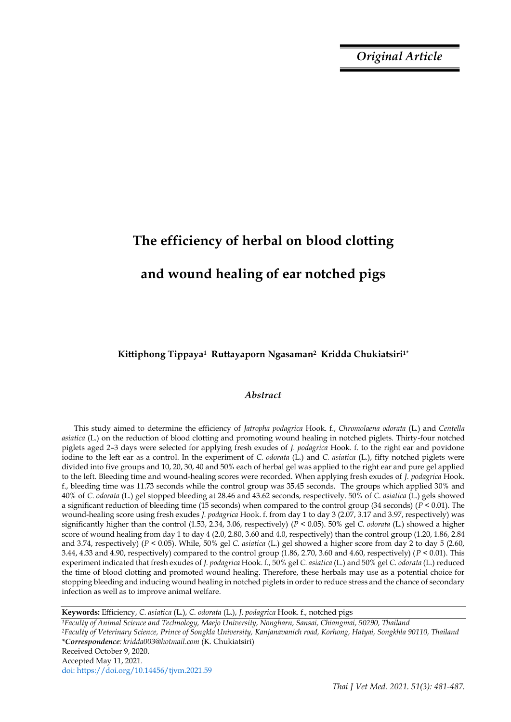*Original Article*

# **The efficiency of herbal on blood clotting and wound healing of ear notched pigs**

**Kittiphong Tippaya1 Ruttayaporn Ngasaman2 Kridda Chukiatsiri1\***

# *Abstract*

This study aimed to determine the efficiency of *Jatropha podagrica* Hook. f., *Chromolaena odorata* (L*.*) and *Centella asiatica* (L*.*) on the reduction of blood clotting and promoting wound healing in notched piglets. Thirty-four notched piglets aged 2–3 days were selected for applying fresh exudes of *J. podagrica* Hook. f. to the right ear and povidone iodine to the left ear as a control. In the experiment of *C. odorata* (L*.*) and *C. asiatica* (L*.*), fifty notched piglets were divided into five groups and 10, 20, 30, 40 and 50% each of herbal gel was applied to the right ear and pure gel applied to the left. Bleeding time and wound-healing scores were recorded. When applying fresh exudes of *J. podagrica* Hook. f., bleeding time was 11.73 seconds while the control group was 35.45 seconds. The groups which applied 30% and 40% of *C. odorata* (L.) gel stopped bleeding at 28.46 and 43.62 seconds, respectively. 50% of *C. asiatica* (L.) gels showed a significant reduction of bleeding time (15 seconds) when compared to the control group (34 seconds) (*P* < 0.01). The wound-healing score using fresh exudes *J. podagrica* Hook. f. from day 1 to day 3 (2.07, 3.17 and 3.97, respectively) was significantly higher than the control (1.53, 2.34, 3.06, respectively) (*P* < 0.05). 50% gel *C. odorata* (L.) showed a higher score of wound healing from day 1 to day 4 (2.0, 2.80, 3.60 and 4.0, respectively) than the control group (1.20, 1.86, 2.84 and 3.74, respectively) (*P* < 0.05). While, 50% gel *C. asiatica* (L.) gel showed a higher score from day 2 to day 5 (2.60, 3.44, 4.33 and 4.90, respectively) compared to the control group (1.86, 2.70, 3.60 and 4.60, respectively) (*P* < 0.01). This experiment indicated that fresh exudes of *J. podagrica* Hook. f., 50% gel *C. asiatica* (L.) and 50% gel *C. odorata* (L.) reduced the time of blood clotting and promoted wound healing. Therefore, these herbals may use as a potential choice for stopping bleeding and inducing wound healing in notched piglets in order to reduce stress and the chance of secondary infection as well as to improve animal welfare.

**Keywords:** Efficiency, *C. asiatica* (L.), *C. odorata* (L.), *J. podagrica* Hook. f., notched pigs

*<sup>1</sup>Faculty of Animal Science and Technology, Maejo University, Nongharn, Sansai, Chiangmai, 50290, Thailand <sup>2</sup>Faculty of Veterinary Science, Prince of Songkla University, Kanjanavanich road, Korhong, Hatyai, Songkhla 90110, Thailand \*Correspondence: kridda003@hotmail.com* (K. Chukiatsiri) Received October 9, 2020. Accepted May 11, 2021. doi: https://doi.org/10.14456/tjvm.2021.59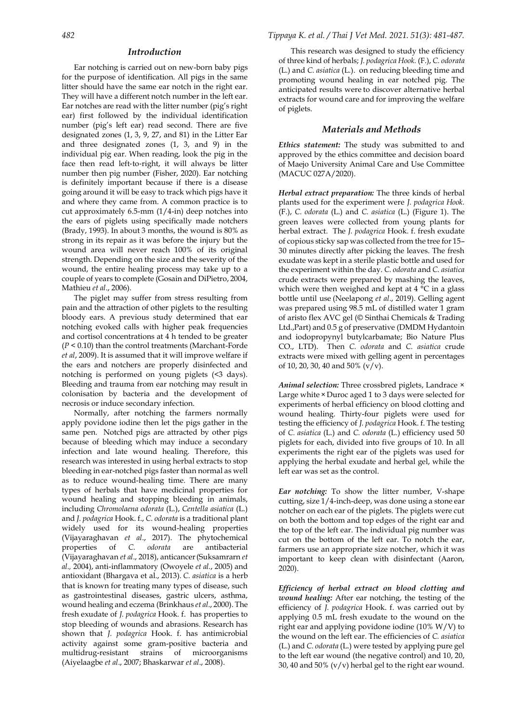## *Introduction*

Ear notching is carried out on new-born baby pigs for the purpose of identification. All pigs in the same litter should have the same ear notch in the right ear. They will have a different notch number in the left ear. Ear notches are read with the litter number (pig's right ear) first followed by the individual identification number (pig's left ear) read second. There are five designated zones (1, 3, 9, 27, and 81) in the Litter Ear and three designated zones (1, 3, and 9) in the individual pig ear. When reading, look the pig in the face then read left‐to‐right, it will always be litter number then pig number (Fisher, 2020). Ear notching is definitely important because if there is a disease going around it will be easy to track which pigs have it and where they came from. A common practice is to cut approximately 6.5-mm (1/4-in) deep notches into the ears of piglets using specifically made notchers (Brady, 1993). In about 3 months, the wound is 80% as strong in its repair as it was before the injury but the wound area will never reach 100% of its original strength. Depending on the size and the severity of the wound, the entire healing process may take up to a couple of years to complete (Gosain and DiPietro, 2004, Mathieu *et al*., 2006).

The piglet may suffer from stress resulting from pain and the attraction of other piglets to the resulting bloody ears. A previous study determined that ear notching evoked calls with higher peak frequencies and cortisol concentrations at 4 h tended to be greater (*P* < 0.10) than the control treatments (Marchant-Forde *et al*, 2009). It is assumed that it will improve welfare if the ears and notchers are properly disinfected and notching is performed on young piglets (<3 days). Bleeding and trauma from ear notching may result in colonisation by bacteria and the development of necrosis or induce secondary infection.

Normally, after notching the farmers normally apply povidone iodine then let the pigs gather in the same pen. Notched pigs are attracted by other pigs because of bleeding which may induce a secondary infection and late wound healing. Therefore, this research was interested in using herbal extracts to stop bleeding in ear-notched pigs faster than normal as well as to reduce wound-healing time. There are many types of herbals that have medicinal properties for wound healing and stopping bleeding in animals, including *Chromolaena odorata* (L*.*), *Centella asiatica* (L.) and *J. podagrica* Hook. f., *C. odorata* is a traditional plant widely used for its wound-healing properties (Vijayaraghavan *et al*., 2017). The phytochemical properties of *C. odorata* are antibacterial (Vijayaraghavan *et al*., 2018), anticancer(Suksamrarn *et al.,* 2004), anti-inflammatory (Owoyele *et al.*, 2005) and antioxidant (Bhargava et al., 2013). *C. asiatica* is a herb that is known for treating many types of disease, such as gastrointestinal diseases, gastric ulcers, asthma, wound healing and eczema (Brinkhaus *et al*., 2000). The fresh exudate of *J. podagrica* Hook*.* f.has properties to stop bleeding of wounds and abrasions. Research has shown that *J. podagrica* Hook. f. has antimicrobial activity against some gram-positive bacteria and multidrug-resistant strains of microorganisms (Aiyelaagbe *et al*., 2007; Bhaskarwar *et al*., 2008).

This research was designed to study the efficiency of three kind of herbals; *J. podagrica Hook.* (F.), *C. odorata* (L.) and *C. asiatica* (L.). on reducing bleeding time and promoting wound healing in ear notched pig. The anticipated results were to discover alternative herbal extracts for wound care and for improving the welfare of piglets.

## *Materials and Methods*

*Ethics statement:* The study was submitted to and approved by the ethics committee and decision board of Maejo University Animal Care and Use Committee (MACUC 027A/2020).

*Herbal extract preparation:* The three kinds of herbal plants used for the experiment were *J. podagrica Hook.* (F.), *C. odorata* (L.) and *C. asiatica* (L.) (Figure 1). The green leaves were collected from young plants for herbal extract. The *J. podagrica* Hook. f. fresh exudate of copious sticky sap was collected from the tree for 15– 30 minutes directly after picking the leaves. The fresh exudate was kept in a sterile plastic bottle and used for the experiment within the day. *C. odorata* and *C. asiatica*  crude extracts were prepared by mashing the leaves, which were then weighed and kept at 4 °C in a glass bottle until use (Neelapong *et al*., 2019). Gelling agent was prepared using 98.5 mL of distilled water 1 gram of aristo flex AVC gel (© Sinthai Chemicals & Trading Ltd.,Part) and 0.5 g of preservative (DMDM Hydantoin and iodopropynyl butylcarbamate; Bio Nature Plus CO., LTD). Then *C. odorata* and *C. asiatica* crude extracts were mixed with gelling agent in percentages of 10, 20, 30, 40 and 50% (v/v).

*Animal selection:* Three crossbred piglets, Landrace × Large white ×Duroc aged 1 to 3 days were selected for experiments of herbal efficiency on blood clotting and wound healing. Thirty-four piglets were used for testing the efficiency of *J. podagrica* Hook. f. The testing of *C. asiatica* (L.) and *C. odorata* (L.) efficiency used 50 piglets for each, divided into five groups of 10. In all experiments the right ear of the piglets was used for applying the herbal exudate and herbal gel, while the left ear was set as the control.

*Ear notching:* To show the litter number, V-shape cutting, size 1/4-inch-deep, was done using a stone ear notcher on each ear of the piglets. The piglets were cut on both the bottom and top edges of the right ear and the top of the left ear. The individual pig number was cut on the bottom of the left ear. To notch the ear, farmers use an appropriate size notcher, which it was important to keep clean with disinfectant (Aaron, 2020).

*Efficiency of herbal extract on blood clotting and wound healing:* After ear notching, the testing of the efficiency of *J. podagrica* Hook. f. was carried out by applying 0.5 mL fresh exudate to the wound on the right ear and applying povidone iodine (10% W/V) to the wound on the left ear. The efficiencies of *C. asiatica*  (L.) and *C. odorata* (L.) were tested by applying pure gel to the left ear wound (the negative control) and 10, 20, 30, 40 and 50% (v/v) herbal gel to the right ear wound.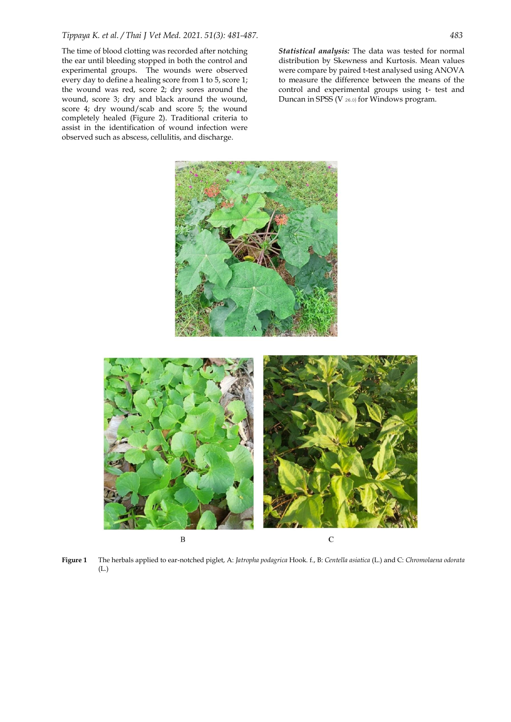The time of blood clotting was recorded after notching the ear until bleeding stopped in both the control and experimental groups. The wounds were observed every day to define a healing score from 1 to 5, score 1; the wound was red, score 2; dry sores around the wound, score 3; dry and black around the wound, score 4; dry wound/scab and score 5; the wound completely healed (Figure 2). Traditional criteria to assist in the identification of wound infection were observed such as abscess, cellulitis, and discharge.

*Statistical analysis:* The data was tested for normal distribution by Skewness and Kurtosis. Mean values were compare by paired t-test analysed using ANOVA to measure the difference between the means of the control and experimental groups using t- test and Duncan in SPSS (V 26.0) for Windows program.



**Figure 1** The herbals applied to ear-notched piglet, A: *Jatropha podagrica* Hook*.* f., B: *Centella asiatica* (L.) and C: *Chromolaena odorata* (L.)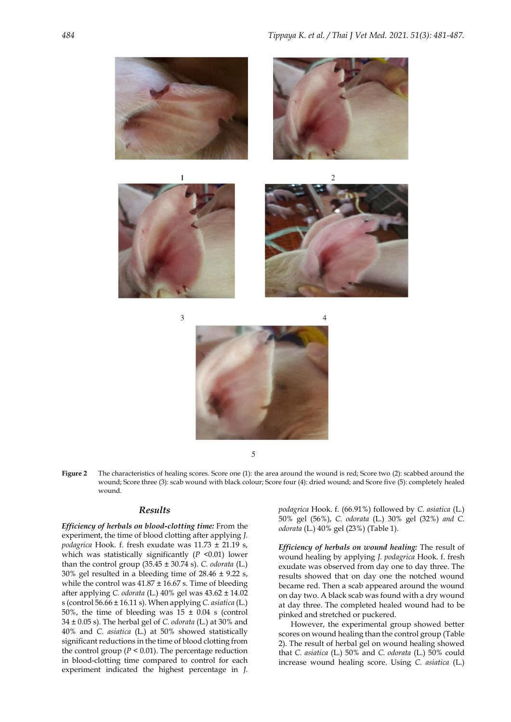

5

**Figure 2** The characteristics of healing scores. Score one (1): the area around the wound is red; Score two (2): scabbed around the wound; Score three (3): scab wound with black colour; Score four (4): dried wound; and Score five (5): completely healed wound.

# *Results*

*Efficiency of herbals on blood-clotting time:* From the experiment, the time of blood clotting after applying *J. podagrica* Hook. f. fresh exudate was 11.73 ± 21.19 s, which was statistically significantly (*P* <0.01) lower than the control group (35.45 ± 30.74 s). *C. odorata* (L.) 30% gel resulted in a bleeding time of 28.46 ± 9.22 s, while the control was  $41.87 \pm 16.67$  s. Time of bleeding after applying *C. odorata* (L.) 40% gel was 43.62 ± 14.02 s (control 56.66 ± 16.11 s). When applying *C. asiatica* (L.) 50%, the time of bleeding was  $15 \pm 0.04$  s (control 34 ± 0.05 s). The herbal gel of *C. odorata* (L.) at 30% and 40% and *C. asiatica* (L.) at 50% showed statistically significant reductions in the time of blood clotting from the control group ( $P < 0.01$ ). The percentage reduction in blood-clotting time compared to control for each experiment indicated the highest percentage in *J.* 

*podagrica* Hook. f. (66.91%) followed by *C. asiatica* (L.) 50% gel (56%), *C. odorata* (L.) 30% gel (32%) *and C. odorata* (L.) 40% gel (23%) (Table 1)*.*

*Efficiency of herbals on wound healing:* The result of wound healing by applying *J. podagrica* Hook. f. fresh exudate was observed from day one to day three. The results showed that on day one the notched wound became red. Then a scab appeared around the wound on day two. A black scab was found with a dry wound at day three. The completed healed wound had to be pinked and stretched or puckered.

However, the experimental group showed better scores on wound healing than the control group (Table 2). The result of herbal gel on wound healing showed that *C. asiatica* (L.) 50% and *C. odorata* (L.) 50% could increase wound healing score. Using *C. asiatica* (L.)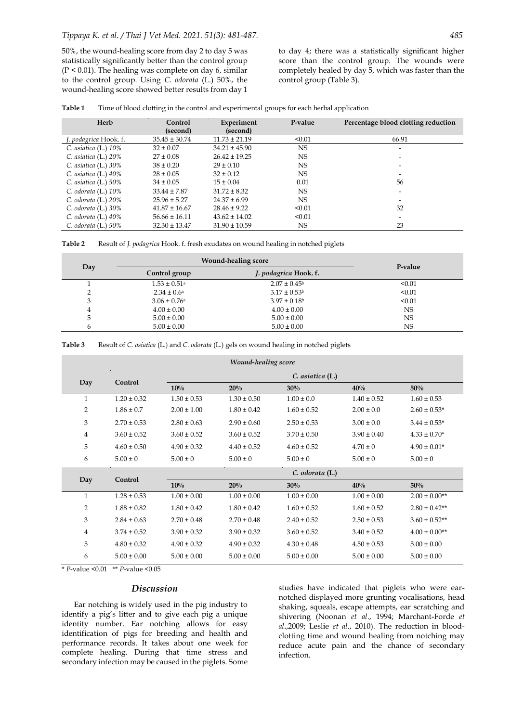50%, the wound-healing score from day 2 to day 5 was statistically significantly better than the control group  $(P < 0.01)$ . The healing was complete on day 6, similar to the control group. Using *C. odorata* (L.) 50%, the wound-healing score showed better results from day 1

to day 4; there was a statistically significant higher score than the control group. The wounds were completely healed by day 5, which was faster than the control group (Table 3).

| Table 1 | Time of blood clotting in the control and experimental groups for each herbal application |  |  |
|---------|-------------------------------------------------------------------------------------------|--|--|
|         |                                                                                           |  |  |

| Herb                    | Control<br>(second) | Experiment<br>(second) | P-value   | Percentage blood clotting reduction |
|-------------------------|---------------------|------------------------|-----------|-------------------------------------|
| J. podagrica Hook. f.   | $35.45 \pm 30.74$   | $11.73 \pm 21.19$      | < 0.01    | 66.91                               |
| C. asiatica (L.) $10\%$ | $32 \pm 0.07$       | $34.21 \pm 45.90$      | <b>NS</b> | -                                   |
| C. asiatica $(L)$ 20%   | $27 \pm 0.08$       | $26.42 \pm 19.25$      | <b>NS</b> |                                     |
| C. asiatica $(L.)$ 30%  | $38 \pm 0.20$       | $29 \pm 0.10$          | NS        | -                                   |
| C. asiatica $(L.)$ 40%  | $28 \pm 0.05$       | $32 \pm 0.12$          | <b>NS</b> |                                     |
| C. asiatica $(L.) 50\%$ | $34 \pm 0.05$       | $15 \pm 0.04$          | 0.01      | 56                                  |
| C. odorata $(L.)$ 10%   | $33.44 \pm 7.87$    | $31.72 \pm 8.32$       | <b>NS</b> | $\overline{\phantom{0}}$            |
| C. odorata $(L)$ 20%    | $25.96 \pm 5.27$    | $24.37 \pm 6.99$       | <b>NS</b> |                                     |
| C. odorata $(L.)$ 30%   | $41.87 \pm 16.67$   | $28.46 \pm 9.22$       | < 0.01    | 32                                  |
| C. odorata $(L.)$ 40%   | $56.66 \pm 16.11$   | $43.62 \pm 14.02$      | < 0.01    |                                     |
| C. odorata $(L.) 50\%$  | $32.30 \pm 13.47$   | $31.90 \pm 10.59$      | NS        | 23                                  |

| Result of J. podagrica Hook. f. fresh exudates on wound healing in notched piglets<br>Table 2 |  |  |
|-----------------------------------------------------------------------------------------------|--|--|
|-----------------------------------------------------------------------------------------------|--|--|

|     | <b>Wound-healing score</b>   | P-value                 |           |
|-----|------------------------------|-------------------------|-----------|
| Day | Control group                | J. podagrica Hook. f.   |           |
|     | $1.53 \pm 0.51$ <sup>a</sup> | $2.07 \pm 0.45^{\circ}$ | < 0.01    |
|     | $2.34 \pm 0.6^{\circ}$       | $3.17 \pm 0.53^{\rm b}$ | < 0.01    |
| 3   | $3.06 \pm 0.76$ <sup>a</sup> | $3.97 \pm 0.18$         | < 0.01    |
| 4   | $4.00 \pm 0.00$              | $4.00 \pm 0.00$         | <b>NS</b> |
|     | $5.00 \pm 0.00$              | $5.00 \pm 0.00$         | <b>NS</b> |
|     | $5.00 \pm 0.00$              | $5.00 \pm 0.00$         | <b>NS</b> |

**Table 3** Result of *C. asiatica* (L.) and *C. odorata* (L.) gels on wound healing in notched piglets

| Wound-healing score |                 |                 |                  |                 |                 |                    |
|---------------------|-----------------|-----------------|------------------|-----------------|-----------------|--------------------|
| Day                 | Control         |                 | C. asiatica (L.) |                 |                 |                    |
|                     |                 | 10%             | 20%              | 30%             | 40%             | 50%                |
| $\mathbf{1}$        | $1.20 \pm 0.32$ | $1.50 \pm 0.53$ | $1.30 \pm 0.50$  | $1.00 \pm 0.0$  | $1.40 \pm 0.52$ | $1.60 \pm 0.53$    |
| 2                   | $1.86 \pm 0.7$  | $2.00 \pm 1.00$ | $1.80 \pm 0.42$  | $1.60 \pm 0.52$ | $2.00 \pm 0.0$  | $2.60 \pm 0.53*$   |
| 3                   | $2.70 \pm 0.53$ | $2.80 \pm 0.63$ | $2.90 \pm 0.60$  | $2.50 \pm 0.53$ | $3.00 \pm 0.0$  | $3.44 \pm 0.53*$   |
| 4                   | $3.60 \pm 0.52$ | $3.60 \pm 0.52$ | $3.60 \pm 0.52$  | $3.70 \pm 0.50$ | $3.90 \pm 0.40$ | $4.33 \pm 0.70*$   |
| 5                   | $4.60 \pm 0.50$ | $4.90 \pm 0.32$ | $4.40 \pm 0.52$  | $4.60 \pm 0.52$ | $4.70 \pm 0$    | $4.90 \pm 0.01*$   |
| 6                   | $5.00 \pm 0$    | $5.00 \pm 0$    | $5.00 \pm 0$     | $5.00 \pm 0$    | $5.00 \pm 0$    | $5.00 \pm 0$       |
|                     |                 |                 |                  | C. odorata (L.) |                 |                    |
| Day                 | Control         | 10%             | 20%              | 30%             | 40%             | 50%                |
| $\mathbf{1}$        | $1.28 \pm 0.53$ | $1.00 \pm 0.00$ | $1.00 \pm 0.00$  | $1.00 \pm 0.00$ | $1.00 \pm 0.00$ | $2.00 \pm 0.00**$  |
| $\overline{2}$      | $1.88 \pm 0.82$ | $1.80 \pm 0.42$ | $1.80 \pm 0.42$  | $1.60 \pm 0.52$ | $1.60 \pm 0.52$ | $2.80 \pm 0.42$ ** |
| 3                   | $2.84 \pm 0.63$ | $2.70 \pm 0.48$ | $2.70 \pm 0.48$  | $2.40 \pm 0.52$ | $2.50 \pm 0.53$ | $3.60 \pm 0.52**$  |
| $\overline{4}$      | $3.74 \pm 0.52$ | $3.90 \pm 0.32$ | $3.90 \pm 0.32$  | $3.60 \pm 0.52$ | $3.40 \pm 0.52$ | $4.00 \pm 0.00**$  |
| 5                   | $4.80 \pm 0.32$ | $4.90 \pm 0.32$ | $4.90 \pm 0.32$  | $4.30 \pm 0.48$ | $4.50 \pm 0.53$ | $5.00 \pm 0.00$    |
| 6                   | $5.00 \pm 0.00$ | $5.00 \pm 0.00$ | $5.00 \pm 0.00$  | $5.00 \pm 0.00$ | $5.00 \pm 0.00$ | $5.00 \pm 0.00$    |

\* *P*-value <0.01 \*\* *P*-value <0.05

## *Discussion*

Ear notching is widely used in the pig industry to identify a pig's litter and to give each pig a unique identity number. Ear notching allows for easy identification of pigs for breeding and health and performance records. It takes about one week for complete healing. During that time stress and secondary infection may be caused in the piglets. Some

studies have indicated that piglets who were earnotched displayed more grunting vocalisations, head shaking, squeals, escape attempts, ear scratching and shivering (Noonan *et al*., 1994; Marchant-Forde *et al*.,2009; Leslie *et al*., 2010). The reduction in bloodclotting time and wound healing from notching may reduce acute pain and the chance of secondary infection.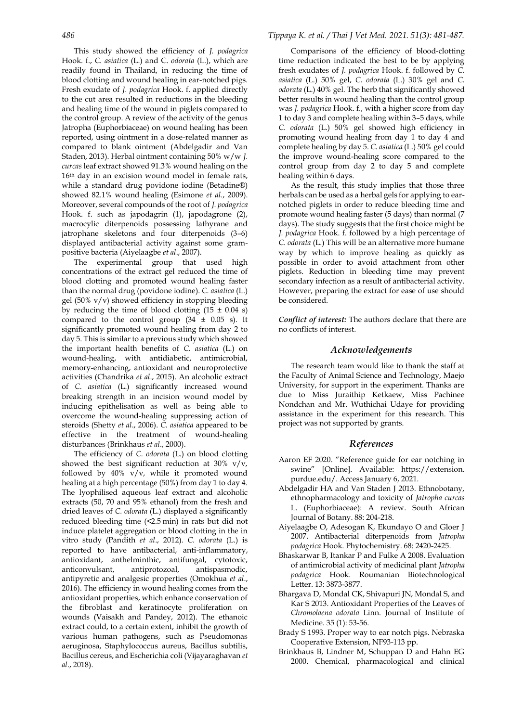This study showed the efficiency of *J. podagrica*  Hook. f., *C. asiatica* (L.) and C. *odorata* (L.), which are readily found in Thailand, in reducing the time of blood clotting and wound healing in ear-notched pigs. Fresh exudate of *J. podagrica* Hook. f. applied directly to the cut area resulted in reductions in the bleeding and healing time of the wound in piglets compared to the control group. A review of the activity of the genus Jatropha (Euphorbiaceae) on wound healing has been reported, using ointment in a dose-related manner as compared to blank ointment (Abdelgadir and Van Staden, 2013). Herbal ointment containing 50% w/w *J. curcas* leaf extract showed 91.3% wound healing on the 16th day in an excision wound model in female rats, while a standard drug povidone iodine (Betadine®) showed 82.1% wound healing (Esimone *et al*., 2009). Moreover, several compounds of the root of *J. podagrica*  Hook. f. such as japodagrin (1), japodagrone (2), macrocylic diterpenoids possessing lathyrane and jatrophane skeletons and four diterpenoids (3–6) displayed antibacterial activity against some grampositive bacteria (Aiyelaagbe *et al*., 2007).

The experimental group that used high concentrations of the extract gel reduced the time of blood clotting and promoted wound healing faster than the normal drug (povidone iodine). *C. asiatica* (L.) gel (50% v/v) showed efficiency in stopping bleeding by reducing the time of blood clotting  $(15 \pm 0.04 \text{ s})$ compared to the control group  $(34 \pm 0.05 \text{ s})$ . It significantly promoted wound healing from day 2 to day 5. This is similar to a previous study which showed the important health benefits of *C. asiatica* (L.) on wound-healing, with antidiabetic, antimicrobial, memory-enhancing, antioxidant and neuroprotective activities (Chandrika *et al*., 2015). An alcoholic extract of *C. asiatica* (L.) significantly increased wound breaking strength in an incision wound model by inducing epithelisation as well as being able to overcome the wound-healing suppressing action of steroids (Shetty *et al*., 2006). *C. asiatica* appeared to be effective in the treatment of wound-healing disturbances (Brinkhaus *et al*., 2000).

The efficiency of *C. odorata* (L.) on blood clotting showed the best significant reduction at 30%  $v/v$ , followed by 40% v/v, while it promoted wound healing at a high percentage (50%) from day 1 to day 4. The lyophilised aqueous leaf extract and alcoholic extracts (50, 70 and 95% ethanol) from the fresh and dried leaves of *C. odorata* (L.) displayed a significantly reduced bleeding time (<2.5 min) in rats but did not induce platelet aggregation or blood clotting in the in vitro study (Pandith *et al*., 2012)*. C. odorata* (L.) is reported to have antibacterial, anti-inflammatory, antioxidant, anthelminthic, antifungal, cytotoxic, anticonvulsant, antiprotozoal, antispasmodic, antipyretic and analgesic properties (Omokhua *et al*., 2016). The efficiency in wound healing comes from the antioxidant properties, which enhance conservation of the fibroblast and keratinocyte proliferation on wounds (Vaisakh and Pandey, 2012). The ethanoic extract could, to a certain extent, inhibit the growth of various human pathogens, such as Pseudomonas aeruginosa, Staphylococcus aureus, Bacillus subtilis, Bacillus cereus, and Escherichia coli (Vijayaraghavan *et al*., 2018).

#### *486 Tippaya K. et al. / Thai J Vet Med. 2021. 51(3): 481-487.*

Comparisons of the efficiency of blood-clotting time reduction indicated the best to be by applying fresh exudates of *J. podagrica* Hook. f. followed by *C. asiatica* (L.) 50% gel, *C. odorata* (L.) 30% gel and *C. odorata* (L.) 40% gel. The herb that significantly showed better results in wound healing than the control group was *J. podagrica* Hook. f*.*, with a higher score from day 1 to day 3 and complete healing within 3–5 days, while *C. odorata* (L.) 50% gel showed high efficiency in promoting wound healing from day 1 to day 4 and complete healing by day 5. *C. asiatica* (L.) 50% gel could the improve wound-healing score compared to the control group from day 2 to day 5 and complete healing within 6 days.

As the result, this study implies that those three herbals can be used as a herbal gels for applying to earnotched piglets in order to reduce bleeding time and promote wound healing faster (5 days) than normal (7 days). The study suggests that the first choice might be *J. podagrica* Hook. f. followed by a high percentage of *C. odorata* (L.) This will be an alternative more humane way by which to improve healing as quickly as possible in order to avoid attachment from other piglets. Reduction in bleeding time may prevent secondary infection as a result of antibacterial activity. However, preparing the extract for ease of use should be considered.

*Conflict of interest:* The authors declare that there are no conflicts of interest.

### *Acknowledgements*

The research team would like to thank the staff at the Faculty of Animal Science and Technology, Maejo University, for support in the experiment. Thanks are due to Miss Juraithip Ketkaew, Miss Pachinee Nondchan and Mr. Wuthichai Udaye for providing assistance in the experiment for this research. This project was not supported by grants.

#### *References*

- Aaron EF 2020. "Reference guide for ear notching in swine" [Online]. Available: [https://extension.](https://extension.purdue.edu/) [purdue.edu/.](https://extension.purdue.edu/) Access January 6, 2021.
- Abdelgadir HA and Van Staden J 2013. Ethnobotany, ethnopharmacology and toxicity of *Jatropha curcas* L. (Euphorbiaceae): A review. South African Journal of Botany. 88: 204-218.
- Aiyelaagbe O, Adesogan K, Ekundayo O and Gloer J 2007. Antibacterial diterpenoids from *Jatropha podagrica* Hook. Phytochemistry. 68: 2420-2425.
- Bhaskarwar B, Itankar P and Fulke A 2008. Evaluation of antimicrobial activity of medicinal plant *Jatropha podagrica* Hook. Roumanian Biotechnological Letter. 13: 3873-3877.
- Bhargava D, Mondal CK, Shivapuri JN, Mondal S, and Kar S 2013. Antioxidant Properties of the Leaves of *Chromolaena odorata* Linn. Journal of Institute of Medicine. 35 (1): 53-56.
- Brady S 1993. Proper way to ear notch pigs. Nebraska Cooperative Extension, NF93-113 pp.
- Brinkhaus B, Lindner M, Schuppan D and Hahn EG 2000. Chemical, pharmacological and clinical